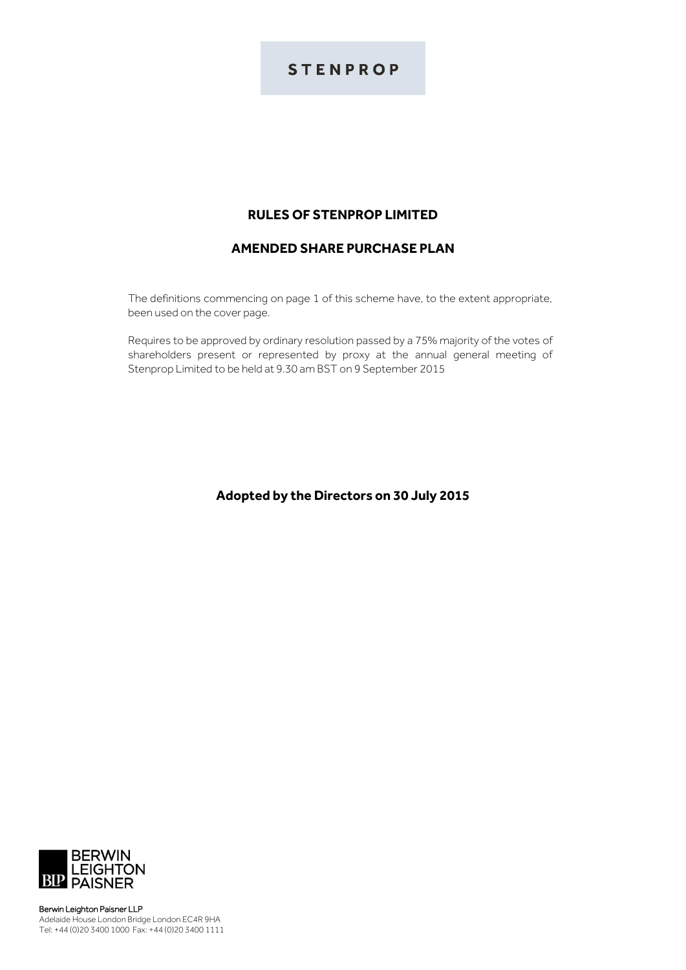# **STENPROP**

# **RULES OF STENPROP LIMITED**

# **AMENDED SHARE PURCHASE PLAN**

The definitions commencing on page 1 of this scheme have, to the extent appropriate, been used on the cover page.

Requires to be approved by ordinary resolution passed by a 75% majority of the votes of shareholders present or represented by proxy at the annual general meeting of Stenprop Limited to be held at 9.30 am BST on 9 September 2015

## **Adopted by the Directors on 30 July 2015**



Berwin Leighton Paisner LLP Adelaide House London Bridge London EC4R 9HA Tel: +44 (0)20 3400 1000 Fax: +44 (0)20 3400 1111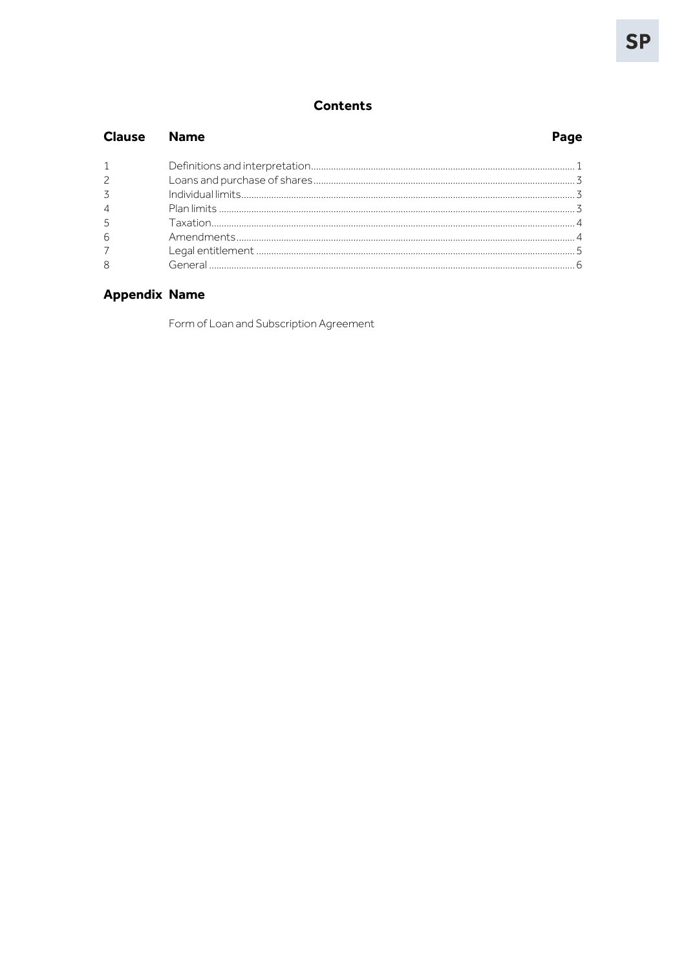# **Contents**

| <b>Clause</b> Name |  |
|--------------------|--|
|                    |  |
| $\overline{2}$     |  |
| 3                  |  |
| $\overline{4}$     |  |
| 5                  |  |
| 6                  |  |
| $\overline{7}$     |  |
| 8                  |  |

# **Appendix Name**

Form of Loan and Subscription Agreement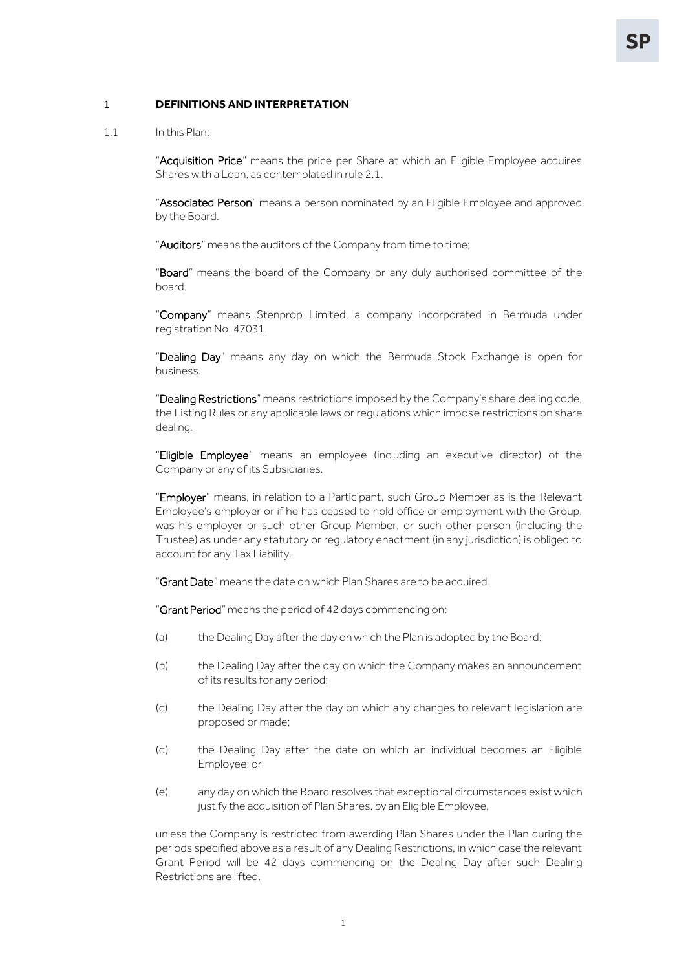#### <span id="page-2-0"></span>1 **DEFINITIONS AND INTERPRETATION**

1.1 In this Plan:

"Acquisition Price" means the price per Share at which an Eligible Employee acquires Shares with a Loan, as contemplated in rul[e 2.1.](#page-4-3)

"Associated Person" means a person nominated by an Eligible Employee and approved by the Board.

"Auditors" means the auditors of the Company from time to time;

"Board" means the board of the Company or any duly authorised committee of the board.

"Company" means Stenprop Limited, a company incorporated in Bermuda under registration No. 47031.

"Dealing Day" means any day on which the Bermuda Stock Exchange is open for business.

"Dealing Restrictions" means restrictions imposed by the Company's share dealing code, the Listing Rules or any applicable laws or regulations which impose restrictions on share dealing.

"Eligible Employee" means an employee (including an executive director) of the Company or any of its Subsidiaries.

"Employer" means, in relation to a Participant, such Group Member as is the Relevant Employee's employer or if he has ceased to hold office or employment with the Group, was his employer or such other Group Member, or such other person (including the Trustee) as under any statutory or regulatory enactment (in any jurisdiction) is obliged to account for any Tax Liability.

"Grant Date" means the date on which Plan Shares are to be acquired.

"Grant Period" means the period of 42 days commencing on:

- (a) the Dealing Day after the day on which the Plan is adopted by the Board;
- (b) the Dealing Day after the day on which the Company makes an announcement of its results for any period;
- (c) the Dealing Day after the day on which any changes to relevant legislation are proposed or made;
- (d) the Dealing Day after the date on which an individual becomes an Eligible Employee; or
- (e) any day on which the Board resolves that exceptional circumstances exist which justify the acquisition of Plan Shares, by an Eligible Employee,

unless the Company is restricted from awarding Plan Shares under the Plan during the periods specified above as a result of any Dealing Restrictions, in which case the relevant Grant Period will be 42 days commencing on the Dealing Day after such Dealing Restrictions are lifted.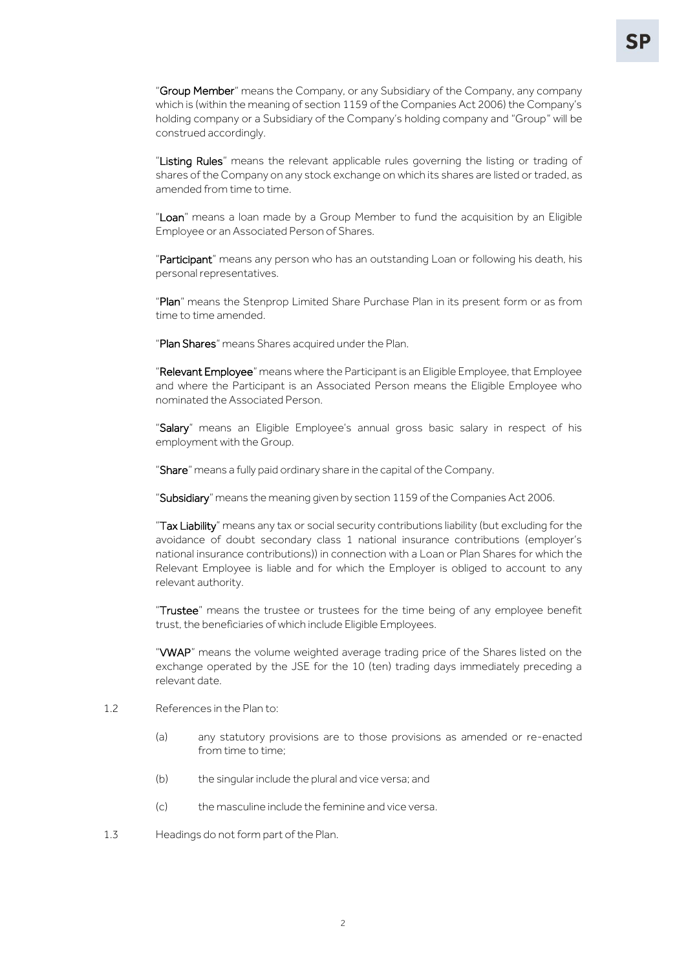"Group Member" means the Company, or any Subsidiary of the Company, any company which is (within the meaning of section 1159 of the Companies Act 2006) the Company's holding company or a Subsidiary of the Company's holding company and "Group" will be construed accordingly.

"Listing Rules" means the relevant applicable rules governing the listing or trading of shares of the Company on any stock exchange on which its shares are listed or traded, as amended from time to time.

"Loan" means a loan made by a Group Member to fund the acquisition by an Eligible Employee or an Associated Person of Shares.

"Participant" means any person who has an outstanding Loan or following his death, his personal representatives.

"Plan" means the Stenprop Limited Share Purchase Plan in its present form or as from time to time amended.

"Plan Shares" means Shares acquired under the Plan.

"Relevant Employee" means where the Participant is an Eligible Employee, that Employee and where the Participant is an Associated Person means the Eligible Employee who nominated the Associated Person.

"Salary" means an Eligible Employee's annual gross basic salary in respect of his employment with the Group.

"Share" means a fully paid ordinary share in the capital of the Company.

"Subsidiary" means the meaning given by section 1159 of the Companies Act 2006.

"Tax Liability" means any tax or social security contributions liability (but excluding for the avoidance of doubt secondary class 1 national insurance contributions (employer's national insurance contributions)) in connection with a Loan or Plan Shares for which the Relevant Employee is liable and for which the Employer is obliged to account to any relevant authority.

"Trustee" means the trustee or trustees for the time being of any employee benefit trust, the beneficiaries of which include Eligible Employees.

"VWAP" means the volume weighted average trading price of the Shares listed on the exchange operated by the JSE for the 10 (ten) trading days immediately preceding a relevant date.

- 1.2 References in the Plan to:
	- (a) any statutory provisions are to those provisions as amended or re-enacted from time to time:
	- (b) the singular include the plural and vice versa; and
	- (c) the masculine include the feminine and vice versa.
- 1.3 Headings do not form part of the Plan.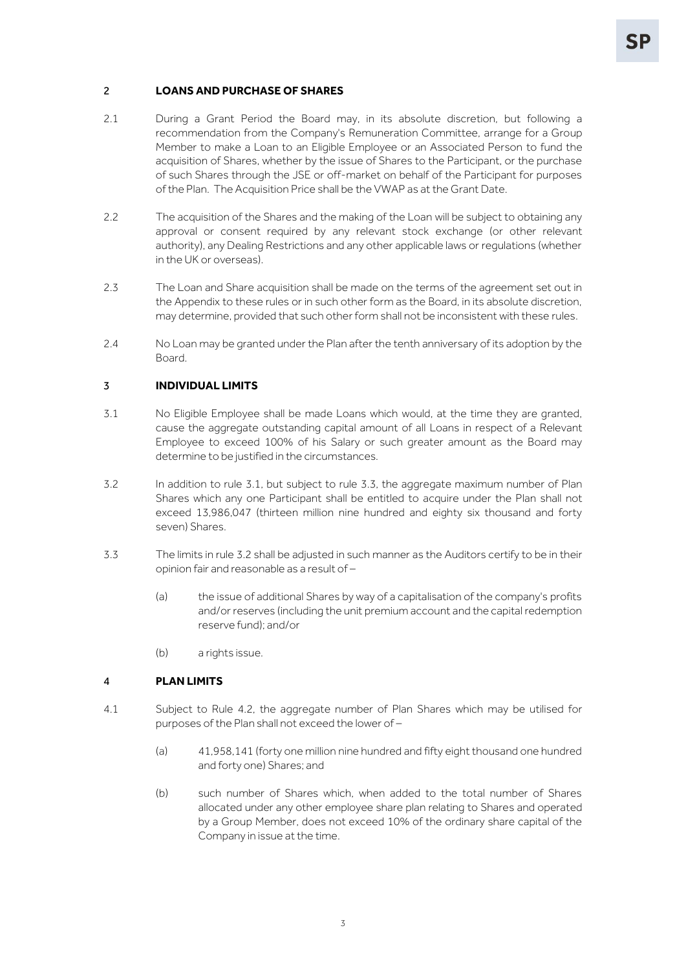### <span id="page-4-3"></span><span id="page-4-0"></span>2 **LOANS AND PURCHASE OF SHARES**

- 2.1 During a Grant Period the Board may, in its absolute discretion, but following a recommendation from the Company's Remuneration Committee, arrange for a Group Member to make a Loan to an Eligible Employee or an Associated Person to fund the acquisition of Shares, whether by the issue of Shares to the Participant, or the purchase of such Shares through the JSE or off-market on behalf of the Participant for purposes of the Plan. The Acquisition Price shall be the VWAP as at the Grant Date.
- 2.2 The acquisition of the Shares and the making of the Loan will be subject to obtaining any approval or consent required by any relevant stock exchange (or other relevant authority), any Dealing Restrictions and any other applicable laws or regulations (whether in the UK or overseas).
- 2.3 The Loan and Share acquisition shall be made on the terms of the agreement set out in the Appendix to these rules or in such other form as the Board, in its absolute discretion, may determine, provided that such other form shall not be inconsistent with these rules.
- <span id="page-4-8"></span>2.4 No Loan may be granted under the Plan after the tenth anniversary of its adoption by the Board.

#### <span id="page-4-4"></span><span id="page-4-1"></span>3 **INDIVIDUAL LIMITS**

- 3.1 No Eligible Employee shall be made Loans which would, at the time they are granted, cause the aggregate outstanding capital amount of all Loans in respect of a Relevant Employee to exceed 100% of his Salary or such greater amount as the Board may determine to be justified in the circumstances.
- <span id="page-4-6"></span>3.2 In addition to rule [3.1,](#page-4-4) but subject to rule [3.3,](#page-4-5) the aggregate maximum number of Plan Shares which any one Participant shall be entitled to acquire under the Plan shall not exceed 13,986,047 (thirteen million nine hundred and eighty six thousand and forty seven) Shares.
- <span id="page-4-5"></span>3.3 The limits in rul[e 3.2](#page-4-6) shall be adjusted in such manner as the Auditors certify to be in their opinion fair and reasonable as a result of –
	- (a) the issue of additional Shares by way of a capitalisation of the company's profits and/or reserves (including the unit premium account and the capital redemption reserve fund); and/or
	- (b) a rights issue.

### <span id="page-4-2"></span>4 **PLAN LIMITS**

- <span id="page-4-7"></span>4.1 Subject to Rule [4.2,](#page-5-2) the aggregate number of Plan Shares which may be utilised for purposes of the Plan shall not exceed the lower of –
	- (a) 41,958,141 (forty one million nine hundred and fifty eight thousand one hundred and forty one) Shares; and
	- (b) such number of Shares which, when added to the total number of Shares allocated under any other employee share plan relating to Shares and operated by a Group Member, does not exceed 10% of the ordinary share capital of the Company in issue at the time.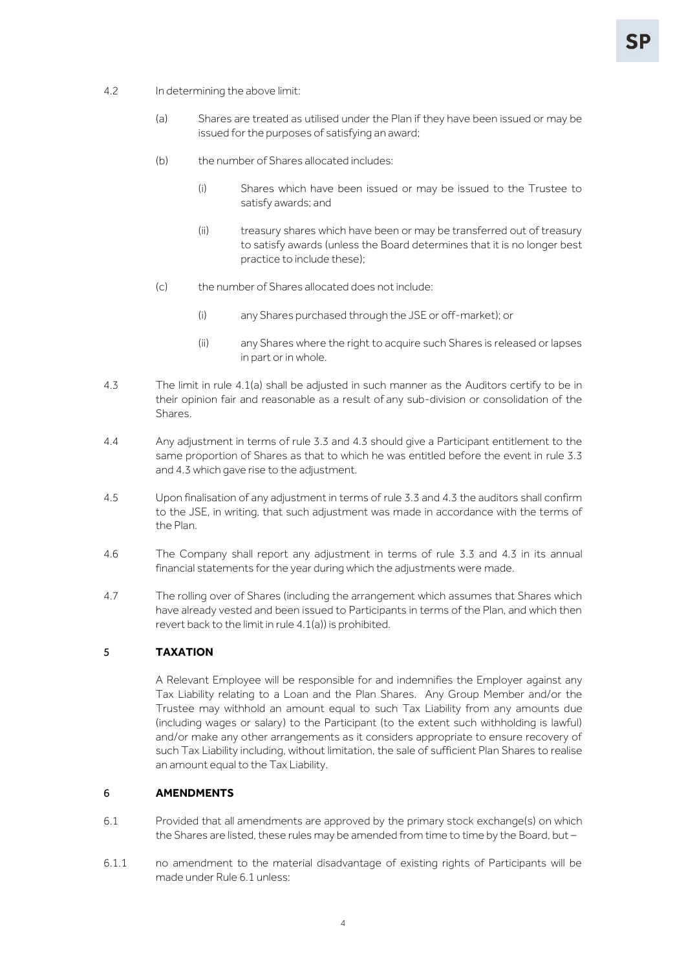- <span id="page-5-2"></span>4.2 In determining the above limit:
	- (a) Shares are treated as utilised under the Plan if they have been issued or may be issued for the purposes of satisfying an award;
	- (b) the number of Shares allocated includes:
		- (i) Shares which have been issued or may be issued to the Trustee to satisfy awards; and
		- (ii) treasury shares which have been or may be transferred out of treasury to satisfy awards (unless the Board determines that it is no longer best practice to include these);
	- (c) the number of Shares allocated does not include:
		- (i) any Shares purchased through the JSE or off-market); or
		- (ii) any Shares where the right to acquire such Shares is released or lapses in part or in whole.
- <span id="page-5-3"></span>4.3 The limit in rule [4.1\(a\)](#page-4-7) shall be adjusted in such manner as the Auditors certify to be in their opinion fair and reasonable as a result of any sub-division or consolidation of the Shares.
- 4.4 Any adjustment in terms of rule [3.3](#page-4-5) and [4.3](#page-5-3) should give a Participant entitlement to the same proportion of Shares as that to which he was entitled before the event in rule [3.3](#page-4-5) an[d 4.3](#page-5-3) which gave rise to the adjustment.
- 4.5 Upon finalisation of any adjustment in terms of rule [3.3](#page-4-5) and [4.3](#page-5-3) the auditors shall confirm to the JSE, in writing, that such adjustment was made in accordance with the terms of the Plan.
- 4.6 The Company shall report any adjustment in terms of rule [3.3](#page-4-5) and [4.3](#page-5-3) in its annual financial statements for the year during which the adjustments were made.
- 4.7 The rolling over of Shares (including the arrangement which assumes that Shares which have already vested and been issued to Participants in terms of the Plan, and which then revert back to the limit in rul[e 4.1\(a\)\)](#page-4-7) is prohibited.

## <span id="page-5-0"></span>5 **TAXATION**

A Relevant Employee will be responsible for and indemnifies the Employer against any Tax Liability relating to a Loan and the Plan Shares. Any Group Member and/or the Trustee may withhold an amount equal to such Tax Liability from any amounts due (including wages or salary) to the Participant (to the extent such withholding is lawful) and/or make any other arrangements as it considers appropriate to ensure recovery of such Tax Liability including, without limitation, the sale of sufficient Plan Shares to realise an amount equal to the Tax Liability.

#### <span id="page-5-4"></span><span id="page-5-1"></span>6 **AMENDMENTS**

- 6.1 Provided that all amendments are approved by the primary stock exchange(s) on which the Shares are listed, these rules may be amended from time to time by the Board, but -
- 6.1.1 no amendment to the material disadvantage of existing rights of Participants will be made under Rule [6.1](#page-5-4) unless: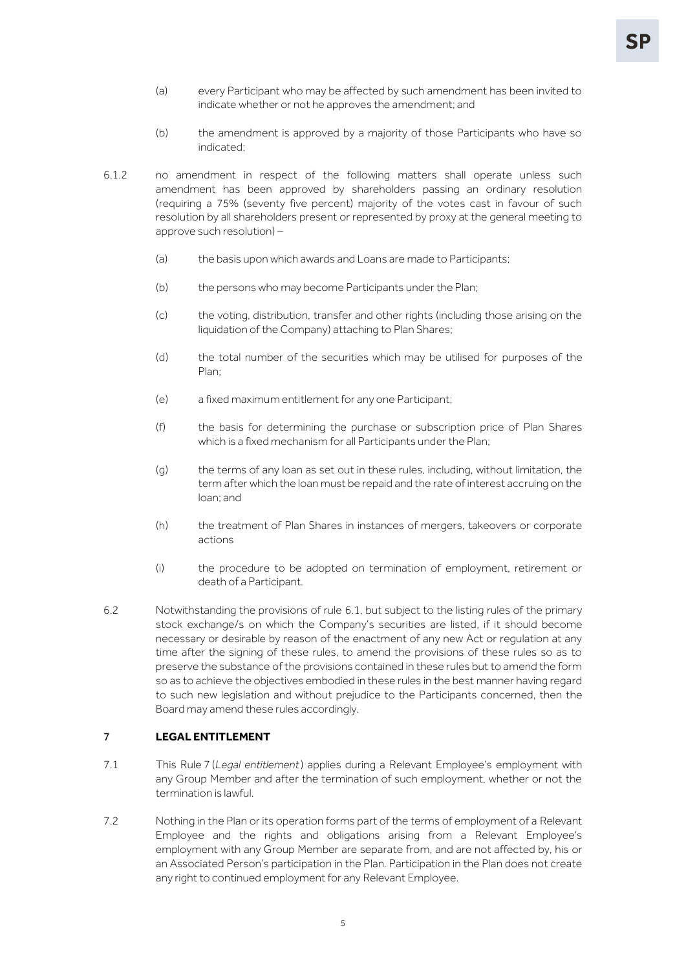- (a) every Participant who may be affected by such amendment has been invited to indicate whether or not he approves the amendment; and
- (b) the amendment is approved by a majority of those Participants who have so indicated;
- 6.1.2 no amendment in respect of the following matters shall operate unless such amendment has been approved by shareholders passing an ordinary resolution (requiring a 75% (seventy five percent) majority of the votes cast in favour of such resolution by all shareholders present or represented by proxy at the general meeting to approve such resolution) –
	- (a) the basis upon which awards and Loans are made to Participants;
	- (b) the persons who may become Participants under the Plan;
	- (c) the voting, distribution, transfer and other rights (including those arising on the liquidation of the Company) attaching to Plan Shares;
	- (d) the total number of the securities which may be utilised for purposes of the Plan;
	- (e) a fixed maximum entitlement for any one Participant;
	- (f) the basis for determining the purchase or subscription price of Plan Shares which is a fixed mechanism for all Participants under the Plan;
	- (g) the terms of any loan as set out in these rules, including, without limitation, the term after which the loan must be repaid and the rate of interest accruing on the loan; and
	- (h) the treatment of Plan Shares in instances of mergers, takeovers or corporate actions
	- (i) the procedure to be adopted on termination of employment, retirement or death of a Participant.
- 6.2 Notwithstanding the provisions of rule 6.1, but subject to the listing rules of the primary stock exchange/s on which the Company's securities are listed, if it should become necessary or desirable by reason of the enactment of any new Act or regulation at any time after the signing of these rules, to amend the provisions of these rules so as to preserve the substance of the provisions contained in these rules but to amend the form so as to achieve the objectives embodied in these rules in the best manner having regard to such new legislation and without prejudice to the Participants concerned, then the Board may amend these rules accordingly.

## <span id="page-6-0"></span>7 **LEGAL ENTITLEMENT**

- 7.1 This Rule [7](#page-6-0) (*[Legal entitlement](#page-6-0)*) applies during a Relevant Employee's employment with any Group Member and after the termination of such employment, whether or not the termination is lawful.
- 7.2 Nothing in the Plan or its operation forms part of the terms of employment of a Relevant Employee and the rights and obligations arising from a Relevant Employee's employment with any Group Member are separate from, and are not affected by, his or an Associated Person's participation in the Plan. Participation in the Plan does not create any right to continued employment for any Relevant Employee.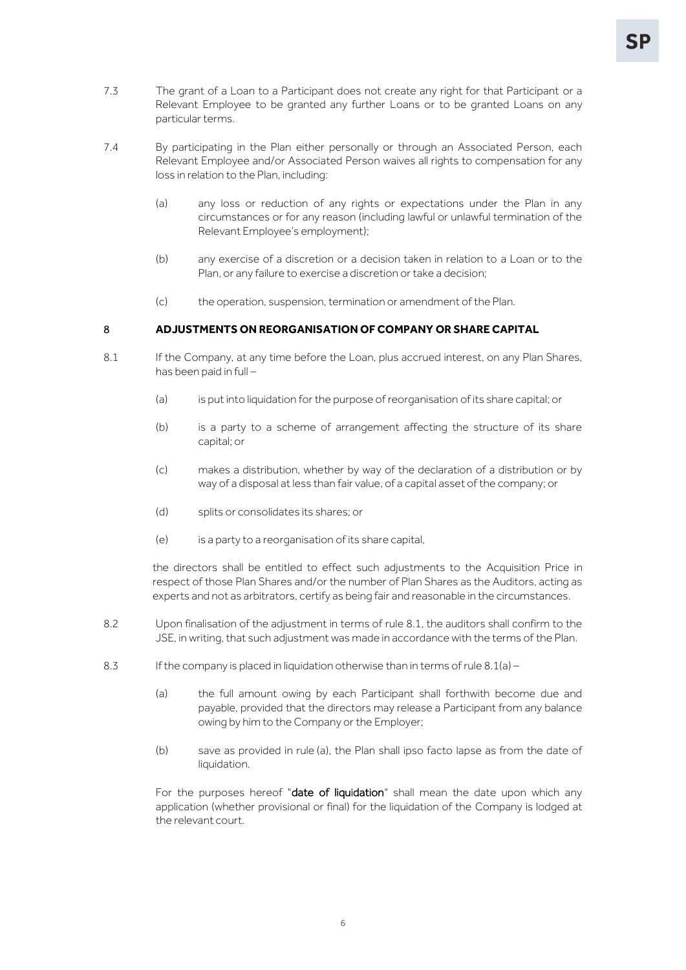- 7.3 The grant of a Loan to a Participant does not create any right for that Participant or a Relevant Employee to be granted any further Loans or to be granted Loans on any particular terms.
- 7.4 By participating in the Plan either personally or through an Associated Person, each Relevant Employee and/or Associated Person waives all rights to compensation for any loss in relation to the Plan, including:
	- (a) any loss or reduction of any rights or expectations under the Plan in any circumstances or for any reason (including lawful or unlawful termination of the Relevant Employee's employment);
	- (b) any exercise of a discretion or a decision taken in relation to a Loan or to the Plan, or any failure to exercise a discretion or take a decision;
	- (c) the operation, suspension, termination or amendment of the Plan.

#### <span id="page-7-1"></span><span id="page-7-0"></span>8 **ADJUSTMENTS ON REORGANISATION OF COMPANY OR SHARE CAPITAL**

- <span id="page-7-2"></span>8.1 If the Company, at any time before the Loan, plus accrued interest, on any Plan Shares, has been paid in full –
	- (a) is put into liquidation for the purpose of reorganisation of its share capital; or
	- (b) is a party to a scheme of arrangement affecting the structure of its share capital; or
	- (c) makes a distribution, whether by way of the declaration of a distribution or by way of a disposal at less than fair value, of a capital asset of the company; or
	- (d) splits or consolidates its shares; or
	- (e) is a party to a reorganisation of its share capital,

the directors shall be entitled to effect such adjustments to the Acquisition Price in respect of those Plan Shares and/or the number of Plan Shares as the Auditors, acting as experts and not as arbitrators, certify as being fair and reasonable in the circumstances.

- 8.2 Upon finalisation of the adjustment in terms of rule [8.1,](#page-7-1) the auditors shall confirm to the JSE, in writing, that such adjustment was made in accordance with the terms of the Plan.
- <span id="page-7-3"></span>8.3 If the company is placed in liquidation otherwise than in terms of rule  $8.1(a)$  –
	- (a) the full amount owing by each Participant shall forthwith become due and payable, provided that the directors may release a Participant from any balance owing by him to the Company or the Employer;
	- (b) save as provided in rule [\(a\),](#page-7-3) the Plan shall ipso facto lapse as from the date of liquidation.

For the purposes hereof "date of liquidation" shall mean the date upon which any application (whether provisional or final) for the liquidation of the Company is lodged at the relevant court.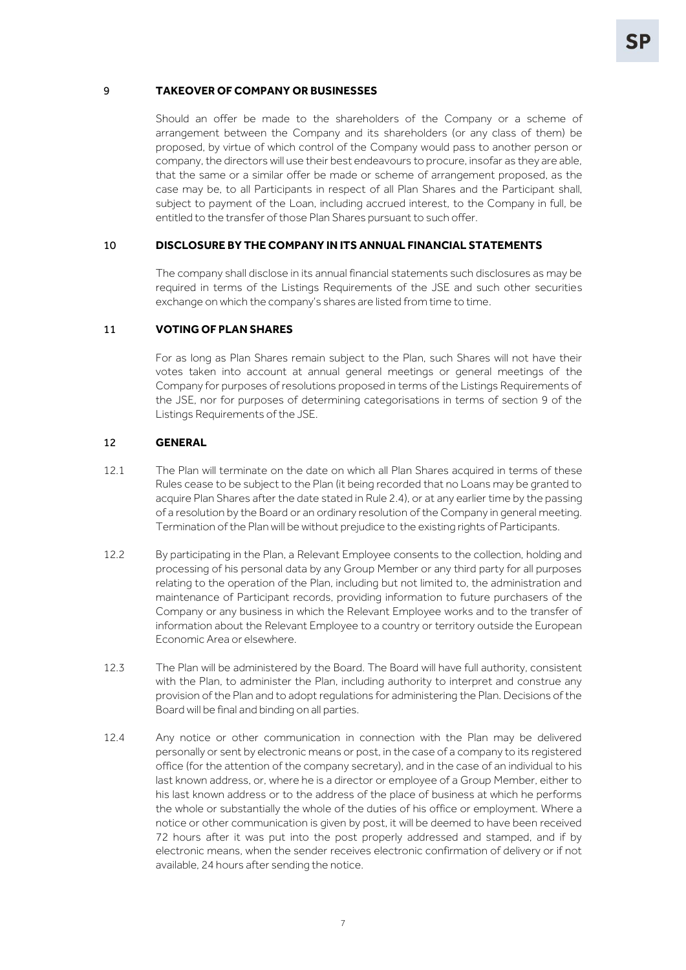#### 9 **TAKEOVER OF COMPANY OR BUSINESSES**

Should an offer be made to the shareholders of the Company or a scheme of arrangement between the Company and its shareholders (or any class of them) be proposed, by virtue of which control of the Company would pass to another person or company, the directors will use their best endeavours to procure, insofar as they are able, that the same or a similar offer be made or scheme of arrangement proposed, as the case may be, to all Participants in respect of all Plan Shares and the Participant shall, subject to payment of the Loan, including accrued interest, to the Company in full, be entitled to the transfer of those Plan Shares pursuant to such offer.

### 10 **DISCLOSURE BY THE COMPANY IN ITS ANNUAL FINANCIAL STATEMENTS**

The company shall disclose in its annual financial statements such disclosures as may be required in terms of the Listings Requirements of the JSE and such other securities exchange on which the company's shares are listed from time to time.

#### 11 **VOTING OF PLAN SHARES**

For as long as Plan Shares remain subject to the Plan, such Shares will not have their votes taken into account at annual general meetings or general meetings of the Company for purposes of resolutions proposed in terms of the Listings Requirements of the JSE, nor for purposes of determining categorisations in terms of section 9 of the Listings Requirements of the JSE.

#### 12 **GENERAL**

- 12.1 The Plan will terminate on the date on which all Plan Shares acquired in terms of these Rules cease to be subject to the Plan (it being recorded that no Loans may be granted to acquire Plan Shares after the date stated in Rule [2.4\)](#page-4-8), or at any earlier time by the passing of a resolution by the Board or an ordinary resolution of the Company in general meeting. Termination of the Plan will be without prejudice to the existing rights of Participants.
- 12.2 By participating in the Plan, a Relevant Employee consents to the collection, holding and processing of his personal data by any Group Member or any third party for all purposes relating to the operation of the Plan, including but not limited to, the administration and maintenance of Participant records, providing information to future purchasers of the Company or any business in which the Relevant Employee works and to the transfer of information about the Relevant Employee to a country or territory outside the European Economic Area or elsewhere.
- 12.3 The Plan will be administered by the Board. The Board will have full authority, consistent with the Plan, to administer the Plan, including authority to interpret and construe any provision of the Plan and to adopt regulations for administering the Plan. Decisions of the Board will be final and binding on all parties.
- 12.4 Any notice or other communication in connection with the Plan may be delivered personally or sent by electronic means or post, in the case of a company to its registered office (for the attention of the company secretary), and in the case of an individual to his last known address, or, where he is a director or employee of a Group Member, either to his last known address or to the address of the place of business at which he performs the whole or substantially the whole of the duties of his office or employment. Where a notice or other communication is given by post, it will be deemed to have been received 72 hours after it was put into the post properly addressed and stamped, and if by electronic means, when the sender receives electronic confirmation of delivery or if not available, 24 hours after sending the notice.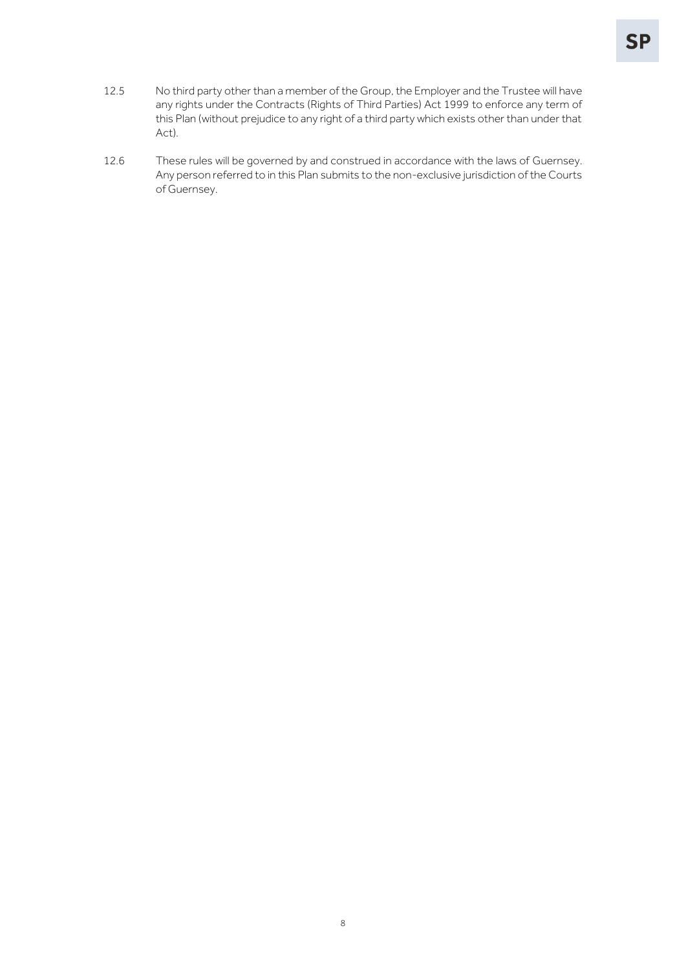- 12.5 No third party other than a member of the Group, the Employer and the Trustee will have any rights under the Contracts (Rights of Third Parties) Act 1999 to enforce any term of this Plan (without prejudice to any right of a third party which exists other than under that Act).
- 12.6 These rules will be governed by and construed in accordance with the laws of Guernsey. Any person referred to in this Plan submits to the non-exclusive jurisdiction of the Courts of Guernsey.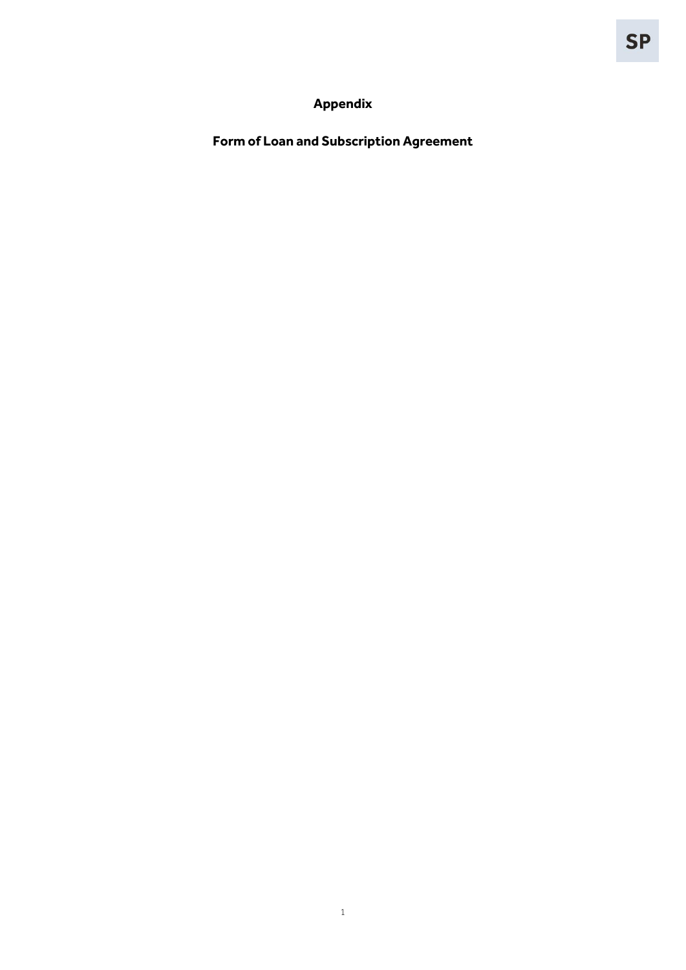# **Appendix**

<span id="page-10-0"></span>**Form of Loan and Subscription Agreement**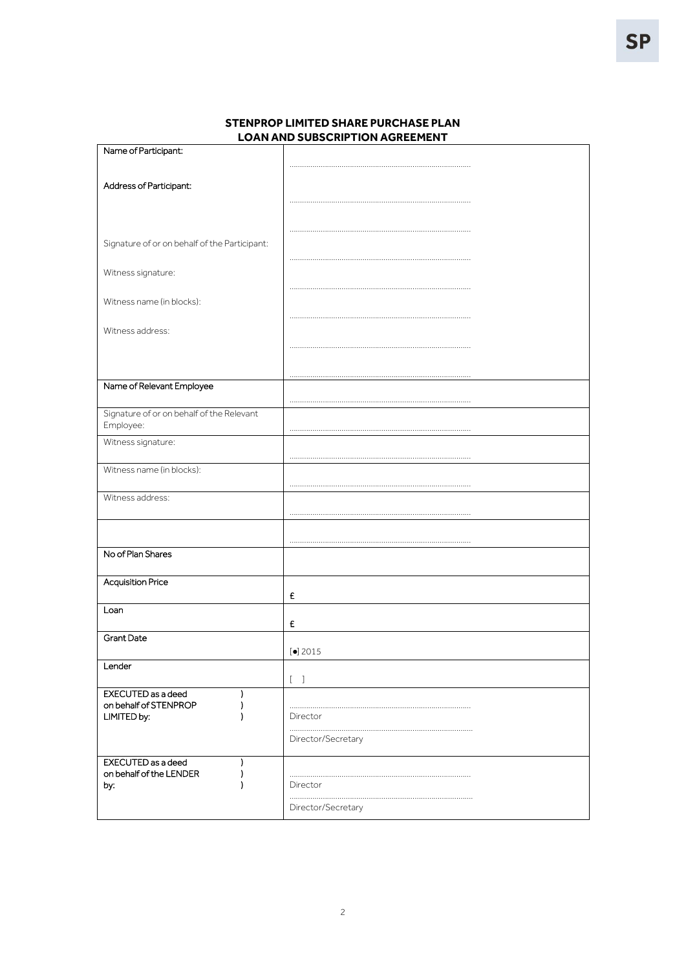| Name of Participant:                          |                                   |
|-----------------------------------------------|-----------------------------------|
|                                               |                                   |
|                                               |                                   |
| Address of Participant:                       |                                   |
|                                               |                                   |
|                                               |                                   |
|                                               |                                   |
|                                               |                                   |
| Signature of or on behalf of the Participant: |                                   |
|                                               |                                   |
|                                               |                                   |
| Witness signature:                            |                                   |
|                                               |                                   |
| Witness name (in blocks):                     |                                   |
|                                               |                                   |
|                                               |                                   |
| Witness address:                              |                                   |
|                                               |                                   |
|                                               |                                   |
|                                               |                                   |
|                                               |                                   |
| Name of Relevant Employee                     |                                   |
|                                               |                                   |
| Signature of or on behalf of the Relevant     |                                   |
| Employee:                                     |                                   |
| Witness signature:                            |                                   |
|                                               |                                   |
|                                               |                                   |
| Witness name (in blocks):                     |                                   |
|                                               |                                   |
| Witness address:                              |                                   |
|                                               |                                   |
|                                               |                                   |
|                                               |                                   |
|                                               |                                   |
| No of Plan Shares                             |                                   |
|                                               |                                   |
|                                               |                                   |
| <b>Acquisition Price</b>                      |                                   |
|                                               | £                                 |
| Loan                                          |                                   |
|                                               | £                                 |
| <b>Grant Date</b>                             |                                   |
|                                               |                                   |
|                                               | $\left[\bullet\right]$ 2015       |
| Lender                                        |                                   |
|                                               | $\begin{bmatrix} 1 \end{bmatrix}$ |
| <b>EXECUTED</b> as a deed<br>I                |                                   |
| on behalf of STENPROP                         |                                   |
| LIMITED by:                                   | Director                          |
|                                               |                                   |
|                                               | Director/Secretary                |
|                                               |                                   |
| EXECUTED as a deed<br>)                       |                                   |
| on behalf of the LENDER                       |                                   |
| by:                                           | Director                          |
|                                               |                                   |
|                                               | Director/Secretary                |
|                                               |                                   |

## **STENPROP LIMITED SHARE PURCHASE PLAN LOAN AND SUBSCRIPTION AGREEMENT**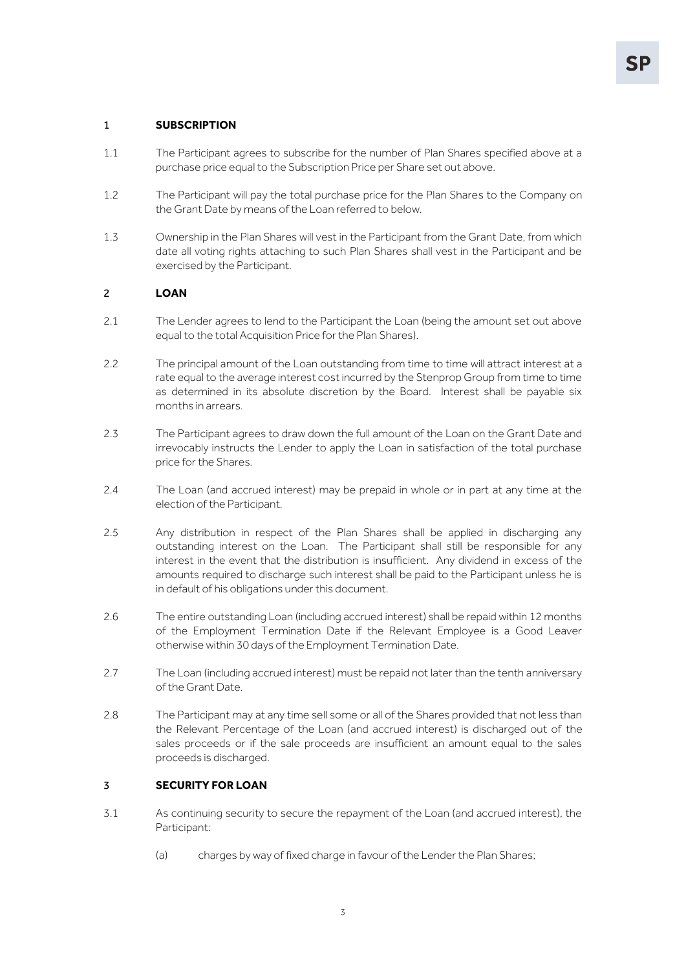### 1 **SUBSCRIPTION**

- 1.1 The Participant agrees to subscribe for the number of Plan Shares specified above at a purchase price equal to the Subscription Price per Share set out above.
- 1.2 The Participant will pay the total purchase price for the Plan Shares to the Company on the Grant Date by means of the Loan referred to below.
- 1.3 Ownership in the Plan Shares will vest in the Participant from the Grant Date, from which date all voting rights attaching to such Plan Shares shall vest in the Participant and be exercised by the Participant.

#### 2 **LOAN**

- 2.1 The Lender agrees to lend to the Participant the Loan (being the amount set out above equal to the total Acquisition Price for the Plan Shares).
- 2.2 The principal amount of the Loan outstanding from time to time will attract interest at a rate equal to the average interest cost incurred by the Stenprop Group from time to time as determined in its absolute discretion by the Board. Interest shall be payable six months in arrears.
- 2.3 The Participant agrees to draw down the full amount of the Loan on the Grant Date and irrevocably instructs the Lender to apply the Loan in satisfaction of the total purchase price for the Shares.
- 2.4 The Loan (and accrued interest) may be prepaid in whole or in part at any time at the election of the Participant.
- 2.5 Any distribution in respect of the Plan Shares shall be applied in discharging any outstanding interest on the Loan. The Participant shall still be responsible for any interest in the event that the distribution is insufficient. Any dividend in excess of the amounts required to discharge such interest shall be paid to the Participant unless he is in default of his obligations under this document.
- 2.6 The entire outstanding Loan (including accrued interest) shall be repaid within 12 months of the Employment Termination Date if the Relevant Employee is a Good Leaver otherwise within 30 days of the Employment Termination Date.
- 2.7 The Loan (including accrued interest) must be repaid not later than the tenth anniversary of the Grant Date.
- 2.8 The Participant may at any time sell some or all of the Shares provided that not less than the Relevant Percentage of the Loan (and accrued interest) is discharged out of the sales proceeds or if the sale proceeds are insufficient an amount equal to the sales proceeds is discharged.

#### 3 **SECURITY FOR LOAN**

- 3.1 As continuing security to secure the repayment of the Loan (and accrued interest), the Participant:
	- (a) charges by way of fixed charge in favour of the Lender the Plan Shares;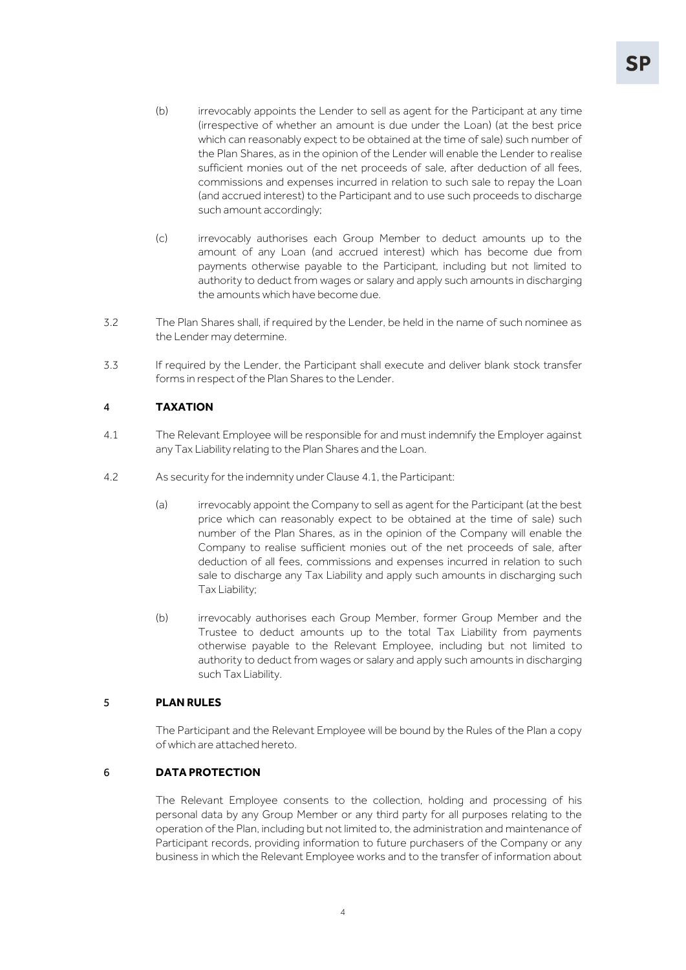- (b) irrevocably appoints the Lender to sell as agent for the Participant at any time (irrespective of whether an amount is due under the Loan) (at the best price which can reasonably expect to be obtained at the time of sale) such number of the Plan Shares, as in the opinion of the Lender will enable the Lender to realise sufficient monies out of the net proceeds of sale, after deduction of all fees, commissions and expenses incurred in relation to such sale to repay the Loan (and accrued interest) to the Participant and to use such proceeds to discharge such amount accordingly;
- (c) irrevocably authorises each Group Member to deduct amounts up to the amount of any Loan (and accrued interest) which has become due from payments otherwise payable to the Participant, including but not limited to authority to deduct from wages or salary and apply such amounts in discharging the amounts which have become due.
- 3.2 The Plan Shares shall, if required by the Lender, be held in the name of such nominee as the Lender may determine.
- 3.3 If required by the Lender, the Participant shall execute and deliver blank stock transfer forms in respect of the Plan Shares to the Lender.

## <span id="page-13-0"></span>4 **TAXATION**

- 4.1 The Relevant Employee will be responsible for and must indemnify the Employer against any Tax Liability relating to the Plan Shares and the Loan.
- 4.2 As security for the indemnity under Clause [4.1,](#page-13-0) the Participant:
	- (a) irrevocably appoint the Company to sell as agent for the Participant (at the best price which can reasonably expect to be obtained at the time of sale) such number of the Plan Shares, as in the opinion of the Company will enable the Company to realise sufficient monies out of the net proceeds of sale, after deduction of all fees, commissions and expenses incurred in relation to such sale to discharge any Tax Liability and apply such amounts in discharging such Tax Liability;
	- (b) irrevocably authorises each Group Member, former Group Member and the Trustee to deduct amounts up to the total Tax Liability from payments otherwise payable to the Relevant Employee, including but not limited to authority to deduct from wages or salary and apply such amounts in discharging such Tax Liability.

#### 5 **PLAN RULES**

The Participant and the Relevant Employee will be bound by the Rules of the Plan a copy of which are attached hereto.

### 6 **DATA PROTECTION**

The Relevant Employee consents to the collection, holding and processing of his personal data by any Group Member or any third party for all purposes relating to the operation of the Plan, including but not limited to, the administration and maintenance of Participant records, providing information to future purchasers of the Company or any business in which the Relevant Employee works and to the transfer of information about